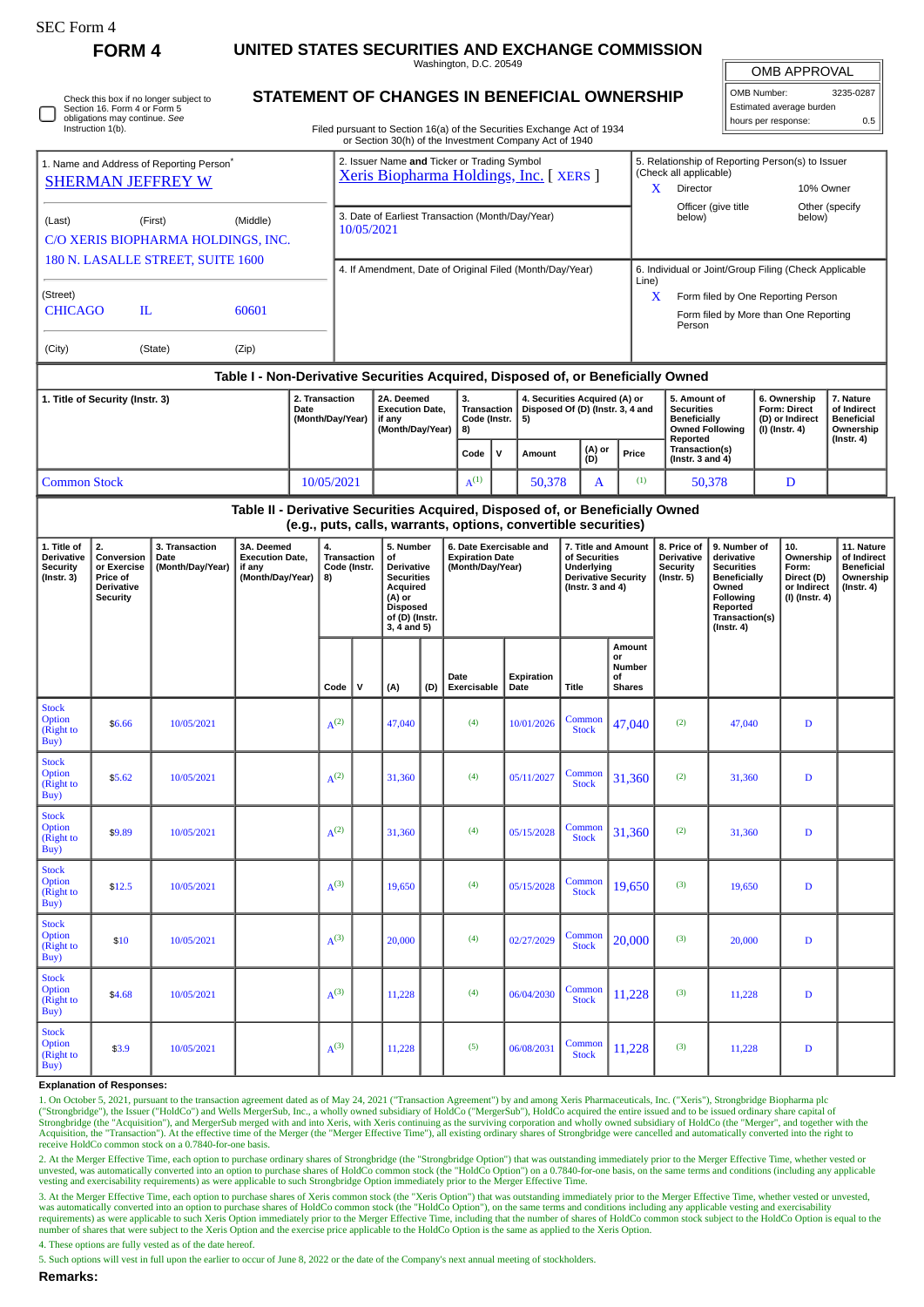| <b>SEC Form 4</b>                                                                                                            | <b>FORM4</b>                                                                                                               |            | UNITED STATES SECURITIES AND EXCHANGE COMMISSION                                 |                                                                                                                                                                                  |                                                                                      |                                                                |                                                                                                                              |                        |                                                                       |   |                    |                                                                                                           |          |                                   |                                                                                                                                                              |                                                                                                                                                |                                                                                    |                                                                          |                                                                                 |  |
|------------------------------------------------------------------------------------------------------------------------------|----------------------------------------------------------------------------------------------------------------------------|------------|----------------------------------------------------------------------------------|----------------------------------------------------------------------------------------------------------------------------------------------------------------------------------|--------------------------------------------------------------------------------------|----------------------------------------------------------------|------------------------------------------------------------------------------------------------------------------------------|------------------------|-----------------------------------------------------------------------|---|--------------------|-----------------------------------------------------------------------------------------------------------|----------|-----------------------------------|--------------------------------------------------------------------------------------------------------------------------------------------------------------|------------------------------------------------------------------------------------------------------------------------------------------------|------------------------------------------------------------------------------------|--------------------------------------------------------------------------|---------------------------------------------------------------------------------|--|
|                                                                                                                              |                                                                                                                            |            |                                                                                  |                                                                                                                                                                                  |                                                                                      |                                                                |                                                                                                                              | Washington, D.C. 20549 |                                                                       |   |                    |                                                                                                           |          |                                   |                                                                                                                                                              |                                                                                                                                                | <b>OMB APPROVAL</b>                                                                |                                                                          |                                                                                 |  |
| Check this box if no longer subject to<br>Section 16. Form 4 or Form 5<br>obligations may continue. See<br>Instruction 1(b). |                                                                                                                            |            |                                                                                  | STATEMENT OF CHANGES IN BENEFICIAL OWNERSHIP<br>Filed pursuant to Section 16(a) of the Securities Exchange Act of 1934<br>or Section 30(h) of the Investment Company Act of 1940 |                                                                                      |                                                                |                                                                                                                              |                        |                                                                       |   |                    |                                                                                                           |          |                                   |                                                                                                                                                              |                                                                                                                                                | OMB Number:<br>3235-0287<br>Estimated average burden<br>hours per response:<br>0.5 |                                                                          |                                                                                 |  |
| 1. Name and Address of Reporting Person <sup>®</sup>                                                                         |                                                                                                                            |            |                                                                                  |                                                                                                                                                                                  | 2. Issuer Name and Ticker or Trading Symbol<br>Xeris Biopharma Holdings, Inc. [XERS] |                                                                |                                                                                                                              |                        |                                                                       |   |                    |                                                                                                           |          |                                   | 5. Relationship of Reporting Person(s) to Issuer<br>(Check all applicable)                                                                                   |                                                                                                                                                |                                                                                    |                                                                          |                                                                                 |  |
| <b>SHERMAN JEFFREY W</b>                                                                                                     |                                                                                                                            |            |                                                                                  |                                                                                                                                                                                  |                                                                                      |                                                                |                                                                                                                              |                        |                                                                       |   |                    |                                                                                                           |          |                                   | Director<br>10% Owner<br>X<br>Officer (give title<br>Other (specify                                                                                          |                                                                                                                                                |                                                                                    |                                                                          |                                                                                 |  |
| (First)<br>(Middle)<br>(Last)<br>C/O XERIS BIOPHARMA HOLDINGS, INC.                                                          |                                                                                                                            |            |                                                                                  |                                                                                                                                                                                  |                                                                                      | 3. Date of Earliest Transaction (Month/Day/Year)<br>10/05/2021 |                                                                                                                              |                        |                                                                       |   |                    |                                                                                                           |          |                                   | below)                                                                                                                                                       |                                                                                                                                                |                                                                                    | below)                                                                   |                                                                                 |  |
| 180 N. LASALLE STREET, SUITE 1600                                                                                            |                                                                                                                            |            |                                                                                  |                                                                                                                                                                                  |                                                                                      | 4. If Amendment, Date of Original Filed (Month/Day/Year)       |                                                                                                                              |                        |                                                                       |   |                    |                                                                                                           |          |                                   | 6. Individual or Joint/Group Filing (Check Applicable<br>Line)<br>X<br>Form filed by One Reporting Person<br>Form filed by More than One Reporting<br>Person |                                                                                                                                                |                                                                                    |                                                                          |                                                                                 |  |
| (Street)<br><b>CHICAGO</b><br>IL.<br>60601                                                                                   |                                                                                                                            |            |                                                                                  |                                                                                                                                                                                  |                                                                                      |                                                                |                                                                                                                              |                        |                                                                       |   |                    |                                                                                                           |          |                                   |                                                                                                                                                              |                                                                                                                                                |                                                                                    |                                                                          |                                                                                 |  |
| (City)                                                                                                                       | (State)<br>(Zip)                                                                                                           |            |                                                                                  |                                                                                                                                                                                  |                                                                                      |                                                                |                                                                                                                              |                        |                                                                       |   |                    |                                                                                                           |          |                                   |                                                                                                                                                              |                                                                                                                                                |                                                                                    |                                                                          |                                                                                 |  |
|                                                                                                                              |                                                                                                                            |            | Table I - Non-Derivative Securities Acquired, Disposed of, or Beneficially Owned |                                                                                                                                                                                  |                                                                                      |                                                                |                                                                                                                              |                        |                                                                       |   |                    |                                                                                                           |          |                                   |                                                                                                                                                              |                                                                                                                                                |                                                                                    |                                                                          |                                                                                 |  |
| 1. Title of Security (Instr. 3)                                                                                              |                                                                                                                            |            |                                                                                  | 2. Transaction<br>Date<br>(Month/Day/Year)                                                                                                                                       |                                                                                      |                                                                | 2A. Deemed<br><b>Execution Date,</b><br>if any<br>(Month/Day/Year)                                                           |                        | 3.<br>Transaction<br>Code (Instr.<br>5)<br>8)                         |   |                    | 4. Securities Acquired (A) or<br>Disposed Of (D) (Instr. 3, 4 and                                         |          |                                   | 5. Amount of<br><b>Securities</b><br>Beneficially<br><b>Owned Following</b><br>Reported                                                                      |                                                                                                                                                | 6. Ownership<br><b>Form: Direct</b><br>(D) or Indirect<br>(I) (Instr. 4)           |                                                                          | 7. Nature<br>of Indirect<br><b>Beneficial</b><br>Ownership<br>$($ Instr. 4 $)$  |  |
|                                                                                                                              |                                                                                                                            |            |                                                                                  |                                                                                                                                                                                  |                                                                                      |                                                                |                                                                                                                              |                        | Code                                                                  | v | Amount             | (A) or<br>(D)                                                                                             |          | Price                             | Transaction(s)<br>(Instr. $3$ and $4$ )                                                                                                                      |                                                                                                                                                |                                                                                    |                                                                          |                                                                                 |  |
| <b>Common Stock</b>                                                                                                          |                                                                                                                            |            |                                                                                  |                                                                                                                                                                                  | 10/05/2021                                                                           |                                                                |                                                                                                                              |                        | $A^{(1)}$                                                             |   |                    | 50,378<br>A                                                                                               |          | (1)                               |                                                                                                                                                              | 50,378                                                                                                                                         |                                                                                    | D                                                                        |                                                                                 |  |
|                                                                                                                              |                                                                                                                            |            | Table II - Derivative Securities Acquired, Disposed of, or Beneficially Owned    |                                                                                                                                                                                  |                                                                                      |                                                                |                                                                                                                              |                        | (e.g., puts, calls, warrants, options, convertible securities)        |   |                    |                                                                                                           |          |                                   |                                                                                                                                                              |                                                                                                                                                |                                                                                    |                                                                          |                                                                                 |  |
| 1. Title of<br>Derivative<br><b>Security</b><br>(Instr. 3)                                                                   | 2.<br>3. Transaction<br>Conversion<br>Date<br>or Exercise<br>(Month/Day/Year)<br>Price of<br>Derivative<br><b>Security</b> |            | 3A. Deemed<br>if any                                                             | 4.<br><b>Execution Date,</b><br>(Month/Day/Year)<br>8)                                                                                                                           |                                                                                      | Transaction<br>Code (Instr.                                    | 5. Number<br>of<br>Derivative<br><b>Securities</b><br>Acquired<br>(A) or<br><b>Disposed</b><br>of (D) (Instr.<br>3, 4 and 5) |                        | 6. Date Exercisable and<br><b>Expiration Date</b><br>(Month/Day/Year) |   |                    | 7. Title and Amount<br>of Securities<br>Underlying<br><b>Derivative Security</b><br>(Instr. $3$ and $4$ ) |          |                                   | 8. Price of<br><b>Derivative</b><br><b>Security</b><br>$($ lnstr. 5 $)$                                                                                      | 9. Number of<br>derivative<br><b>Securities</b><br><b>Beneficially</b><br>Owned<br>Following<br>Reported<br>Transaction(s)<br>$($ Instr. 4 $)$ |                                                                                    | 10.<br>Ownership<br>Form:<br>Direct (D)<br>or Indirect<br>(I) (Instr. 4) | 11. Nature<br>of Indirect<br><b>Beneficial</b><br>Ownership<br>$($ Instr. 4 $)$ |  |
|                                                                                                                              |                                                                                                                            |            |                                                                                  |                                                                                                                                                                                  | Code                                                                                 | $\mathsf{v}$                                                   | (A)                                                                                                                          | (D)                    | Date<br><b>Exercisable</b>                                            |   | Expiration<br>Date | <b>Title</b>                                                                                              | or<br>οf | Amount<br>Number<br><b>Shares</b> |                                                                                                                                                              |                                                                                                                                                |                                                                                    |                                                                          |                                                                                 |  |
| <b>Stock</b><br>Option<br>(Right to<br>Buy)                                                                                  | \$6.66                                                                                                                     | 10/05/2021 |                                                                                  |                                                                                                                                                                                  | $A^{(2)}$                                                                            |                                                                | 47,040                                                                                                                       |                        | (4)                                                                   |   | 10/01/2026         | Common<br><b>Stock</b>                                                                                    |          | 47,040                            | (2)                                                                                                                                                          | 47,040                                                                                                                                         |                                                                                    | $\mathbf D$                                                              |                                                                                 |  |
| <b>Stock</b><br>Option<br>(Right to<br>Buy)                                                                                  | \$5.62                                                                                                                     | 10/05/2021 |                                                                                  |                                                                                                                                                                                  | $A^{(2)}$                                                                            |                                                                | 31,360                                                                                                                       |                        | (4)                                                                   |   | 05/11/2027         | Common<br><b>Stock</b>                                                                                    |          | 31,360                            | (2)                                                                                                                                                          | 31,360                                                                                                                                         |                                                                                    | $\mathbf D$                                                              |                                                                                 |  |
| <b>Stock</b><br><b>Option</b><br>(Right to<br>Buy)                                                                           | \$9.89                                                                                                                     | 10/05/2021 |                                                                                  |                                                                                                                                                                                  | $A^{(2)}$                                                                            |                                                                | 31,360                                                                                                                       |                        | (4)                                                                   |   | 05/15/2028         | Common<br><b>Stock</b>                                                                                    |          | 31,360                            | (2)                                                                                                                                                          | 31,360                                                                                                                                         |                                                                                    | D                                                                        |                                                                                 |  |
| <b>Stock</b><br><b>Option</b><br>(Right to<br>Buy)                                                                           | \$12.5                                                                                                                     | 10/05/2021 |                                                                                  |                                                                                                                                                                                  | $A^{(3)}$                                                                            |                                                                | 19,650                                                                                                                       |                        | (4)                                                                   |   | 05/15/2028         | Common<br><b>Stock</b>                                                                                    |          | 19,650                            | (3)                                                                                                                                                          | 19,650                                                                                                                                         |                                                                                    | $\mathbf D$                                                              |                                                                                 |  |
| <b>Stock</b><br>Option<br>(Right to<br>Buy)                                                                                  | \$10                                                                                                                       | 10/05/2021 |                                                                                  |                                                                                                                                                                                  | $A^{(3)}$                                                                            |                                                                | 20,000                                                                                                                       |                        | (4)                                                                   |   | 02/27/2029         | Common<br><b>Stock</b>                                                                                    |          | 20,000                            | (3)                                                                                                                                                          | 20,000                                                                                                                                         |                                                                                    | $\mathbf D$                                                              |                                                                                 |  |
| <b>Stock</b><br>Option<br>(Right to<br>Buy)                                                                                  | \$4.68                                                                                                                     | 10/05/2021 |                                                                                  |                                                                                                                                                                                  | $A^{(3)}$                                                                            |                                                                | 11,228                                                                                                                       |                        | (4)                                                                   |   | 06/04/2030         | Common<br><b>Stock</b>                                                                                    |          | 11,228                            | (3)                                                                                                                                                          | 11,228                                                                                                                                         |                                                                                    | D                                                                        |                                                                                 |  |
| <b>Stock</b><br><b>Option</b><br>(Right to<br>Buy)                                                                           | \$3.9                                                                                                                      | 10/05/2021 |                                                                                  |                                                                                                                                                                                  | $A^{(3)}$                                                                            |                                                                | 11,228                                                                                                                       |                        | (5)                                                                   |   | 06/08/2031         | Common<br><b>Stock</b>                                                                                    |          | 11,228                            | (3)                                                                                                                                                          | 11,228                                                                                                                                         |                                                                                    | D                                                                        |                                                                                 |  |

## **Explanation of Responses:**

1. On October 5, 2021, pursuant to the transaction agreement dated as of May 24, 2021 ("Transaction Agreement") by and among Xeris Pharmaceuticals, Inc. ("Xeris"), Strongbridge Biopharma plc ("Strongbridge"), the Issuer ("HoldCo") and Wells MergerSub, Inc., a wholly owned subsidiary of HoldCo ("MergerSub"), HoldCo acquired the entire issued and to be issued ordinary share capital of<br>Strongbridge (the "Acquisit receive HoldCo common stock on a 0.7840-for-one basis.

2. At the Merger Effective Time, each option to purchase ordinary shares of Strongbridge (the "Strongbridge Option") that was outstanding immediately prior to the Merger Effective Time, whether vested or unvested, was automatically converted into an option to purchase shares of HoldCo common stock (the "HoldCo Option") on a 0.7840-for-one basis, on the same terms and conditions (including any applicable<br>vesting and exercis

3. At the Merger Effective Time, each option to purchase shares of Xeris common stock (the "Xeris Option") that was outstanding immediately prior to the Merger Effective Time, whether vested or unvested,<br>was automatically requirements) as were applicable to such Xeris Option immediately prior to the Merger Effective Time, including that the number of shares of HoldCo common stock subject to the HoldCo Option is equal to the tholdCo Option i

4. These options are fully vested as of the date hereof.

5. Such options will vest in full upon the earlier to occur of June 8, 2022 or the date of the Company's next annual meeting of stockholders.

**Remarks:**